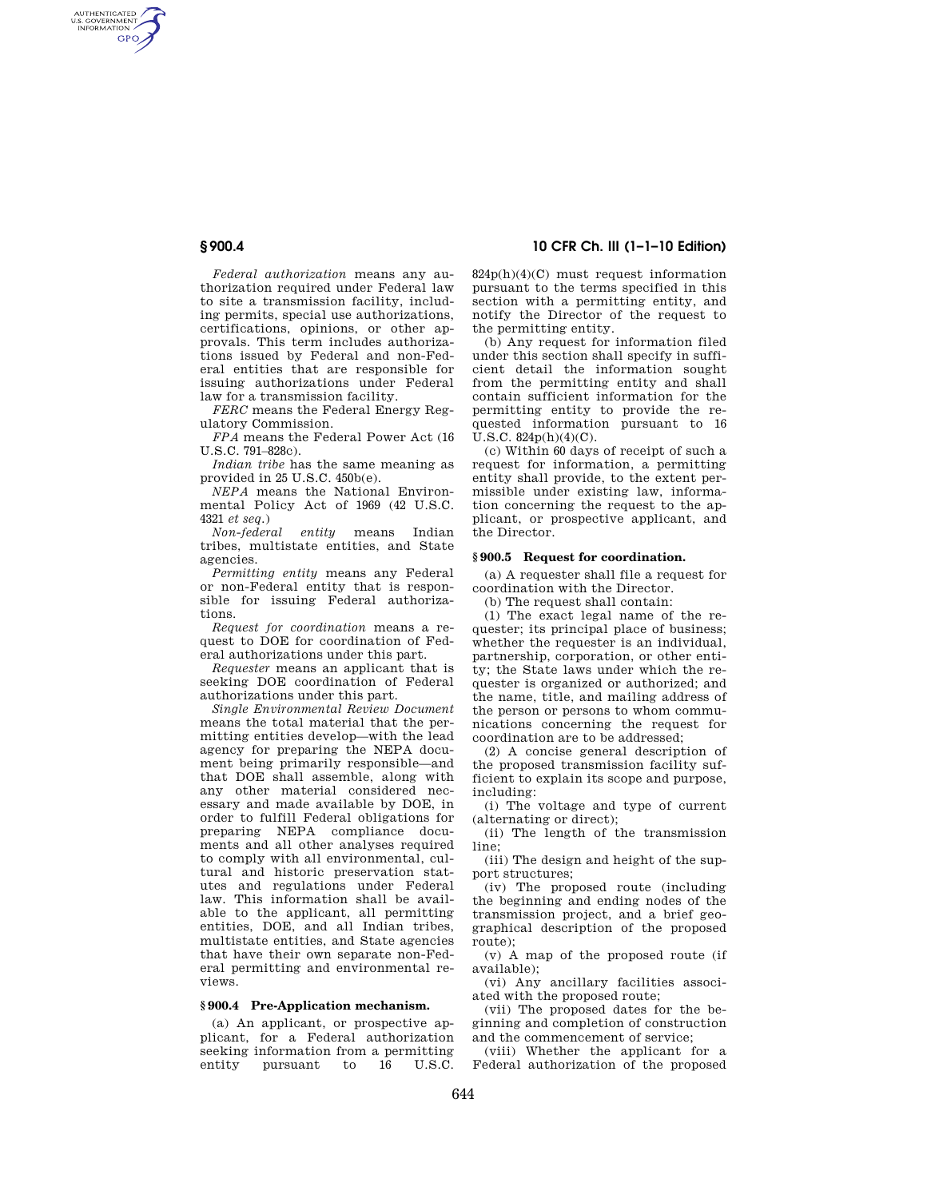AUTHENTICATED<br>U.S. GOVERNMENT<br>INFORMATION **GPO** 

> *Federal authorization* means any authorization required under Federal law to site a transmission facility, including permits, special use authorizations, certifications, opinions, or other approvals. This term includes authorizations issued by Federal and non-Federal entities that are responsible for issuing authorizations under Federal law for a transmission facility.

*FERC* means the Federal Energy Regulatory Commission.

*FPA* means the Federal Power Act (16 U.S.C. 791–828c).

*Indian tribe* has the same meaning as provided in 25 U.S.C. 450b(e).

*NEPA* means the National Environmental Policy Act of 1969 (42 U.S.C. 4321 *et seq.*)

*Non-federal entity* means Indian tribes, multistate entities, and State agencies.

*Permitting entity* means any Federal or non-Federal entity that is responsible for issuing Federal authorizations.

*Request for coordination* means a request to DOE for coordination of Federal authorizations under this part.

*Requester* means an applicant that is seeking DOE coordination of Federal authorizations under this part.

*Single Environmental Review Document*  means the total material that the permitting entities develop—with the lead agency for preparing the NEPA document being primarily responsible—and that DOE shall assemble, along with any other material considered necessary and made available by DOE, in order to fulfill Federal obligations for preparing NEPA compliance documents and all other analyses required to comply with all environmental, cultural and historic preservation statutes and regulations under Federal law. This information shall be available to the applicant, all permitting entities, DOE, and all Indian tribes, multistate entities, and State agencies that have their own separate non-Federal permitting and environmental reviews.

# **§ 900.4 Pre-Application mechanism.**

(a) An applicant, or prospective applicant, for a Federal authorization seeking information from a permitting<br>entity pursuant to 16 USC pursuant to

**§ 900.4 10 CFR Ch. III (1–1–10 Edition)** 

824p(h)(4)(C) must request information pursuant to the terms specified in this section with a permitting entity, and notify the Director of the request to the permitting entity.

(b) Any request for information filed under this section shall specify in sufficient detail the information sought from the permitting entity and shall contain sufficient information for the permitting entity to provide the requested information pursuant to 16 U.S.C. 824p(h)(4)(C).

(c) Within 60 days of receipt of such a request for information, a permitting entity shall provide, to the extent permissible under existing law, information concerning the request to the applicant, or prospective applicant, and the Director.

### **§ 900.5 Request for coordination.**

(a) A requester shall file a request for coordination with the Director.

(b) The request shall contain:

(1) The exact legal name of the requester; its principal place of business; whether the requester is an individual, partnership, corporation, or other entity; the State laws under which the requester is organized or authorized; and the name, title, and mailing address of the person or persons to whom communications concerning the request for coordination are to be addressed;

(2) A concise general description of the proposed transmission facility sufficient to explain its scope and purpose, including:

(i) The voltage and type of current (alternating or direct);

(ii) The length of the transmission line;

(iii) The design and height of the support structures;

(iv) The proposed route (including the beginning and ending nodes of the transmission project, and a brief geographical description of the proposed route);

(v) A map of the proposed route (if available);

(vi) Any ancillary facilities associated with the proposed route;

(vii) The proposed dates for the beginning and completion of construction and the commencement of service;

(viii) Whether the applicant for a Federal authorization of the proposed